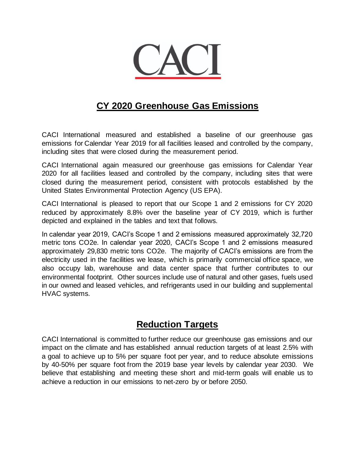

### **CY 2020 Greenhouse Gas Emissions**

CACI International measured and established a baseline of our greenhouse gas emissions for Calendar Year 2019 for all facilities leased and controlled by the company, including sites that were closed during the measurement period.

CACI International again measured our greenhouse gas emissions for Calendar Year 2020 for all facilities leased and controlled by the company, including sites that were closed during the measurement period, consistent with protocols established by the United States Environmental Protection Agency (US EPA).

CACI International is pleased to report that our Scope 1 and 2 emissions for CY 2020 reduced by approximately 8.8% over the baseline year of CY 2019, which is further depicted and explained in the tables and text that follows.

In calendar year 2019, CACI's Scope 1 and 2 emissions measured approximately 32,720 metric tons CO2e. In calendar year 2020, CACI's Scope 1 and 2 emissions measured approximately 29,830 metric tons CO2e. The majority of CACI's emissions are from the electricity used in the facilities we lease, which is primarily commercial office space, we also occupy lab, warehouse and data center space that further contributes to our environmental footprint. Other sources include use of natural and other gases, fuels used in our owned and leased vehicles, and refrigerants used in our building and supplemental HVAC systems.

#### **Reduction Targets**

CACI International is committed to further reduce our greenhouse gas emissions and our impact on the climate and has established annual reduction targets of at least 2.5% with a goal to achieve up to 5% per square foot per year, and to reduce absolute emissions by 40-50% per square foot from the 2019 base year levels by calendar year 2030. We believe that establishing and meeting these short and mid-term goals will enable us to achieve a reduction in our emissions to net-zero by or before 2050.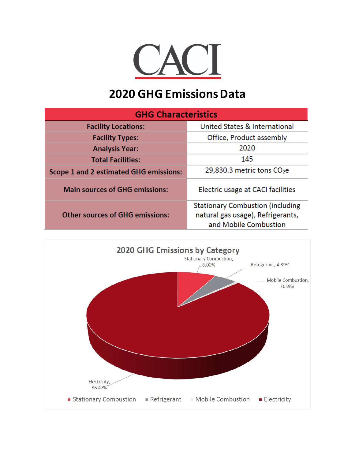

# **2020 GHG Emissions Data**

| <b>GHG Characteristics</b>             |                                                                                                       |  |  |  |
|----------------------------------------|-------------------------------------------------------------------------------------------------------|--|--|--|
| <b>Facility Locations:</b>             | <b>United States &amp; International</b>                                                              |  |  |  |
| <b>Facility Types:</b>                 | Office, Product assembly                                                                              |  |  |  |
| <b>Analysis Year:</b>                  | 2020                                                                                                  |  |  |  |
| <b>Total Facilities:</b>               | 145                                                                                                   |  |  |  |
| Scope 1 and 2 estimated GHG emissions: | 29,830.3 metric tons $CO2e$                                                                           |  |  |  |
| <b>Main sources of GHG emissions:</b>  | Electric usage at CACI facilities                                                                     |  |  |  |
| <b>Other sources of GHG emissions:</b> | <b>Stationary Combustion (including</b><br>natural gas usage), Refrigerants,<br>and Mobile Combustion |  |  |  |

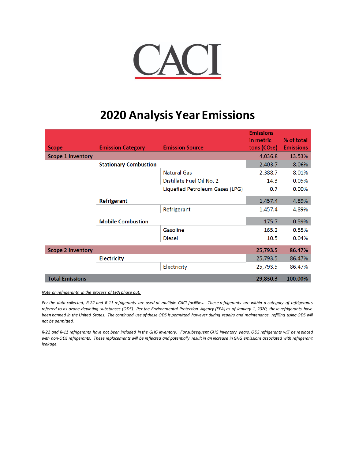

## **2020 Analysis Year Emissions**

| <b>Scope</b>             | <b>Emission Category</b>     | <b>Emission Source</b>          | <b>Emissions</b><br>in metric<br>tons $(CO2e)$ | % of total<br><b>Emissions</b> |
|--------------------------|------------------------------|---------------------------------|------------------------------------------------|--------------------------------|
| <b>Scope 1 Inventory</b> |                              |                                 | 4,036.8                                        | 13.53%                         |
|                          | <b>Stationary Combustion</b> |                                 | 2,403.7                                        | 8.06%                          |
|                          |                              | <b>Natural Gas</b>              | 2,388.7                                        | 8.01%                          |
|                          |                              | Distillate Fuel Oil No. 2       | 14.3                                           | 0.05%                          |
|                          |                              | Liquefied Petroleum Gases (LPG) | 0.7                                            | $0.00\%$                       |
|                          | Refrigerant                  |                                 | 1,457.4                                        | 4.89%                          |
|                          |                              | Refrigerant                     | 1,457.4                                        | 4.89%                          |
|                          | <b>Mobile Combustion</b>     |                                 | 175.7                                          | 0.59%                          |
|                          |                              | Gasoline                        | 165.2                                          | 0.55%                          |
|                          |                              | <b>Diesel</b>                   | 10.5                                           | 0.04%                          |
| <b>Scope 2 Inventory</b> |                              |                                 | 25,793.5                                       | 86.47%                         |
|                          | <b>Electricity</b>           |                                 | 25,793.5                                       | 86.47%                         |
|                          |                              | Electricity                     | 25,793.5                                       | 86.47%                         |
| <b>Total Emissions</b>   |                              |                                 | 29,830.3                                       | 100.00%                        |

*Note on refrigerants in the process of EPA phase out:*

Per the data collected, R-22 and R-11 refrigerants are used at multiple CACI facilities. These refrigerants are within a category of refrigerants *referred to as ozone-depleting substances (ODS). Per the Environmental Protection Agency (EPA) as of January 1, 2020, these refrigerants have*  been banned in the United States. The continued use of these ODS is permitted however during repairs and maintenance, refilling using ODS will *not be permitted.*

*R-22 and R-11 refrigerants have not been included in the GHG inventory. For subsequent GHG inventory years, ODS refrigerants will be re placed with non-ODS refrigerants. These replacements will be reflected and potentially result in an increase in GHG emissions associated with refrigerant leakage.*